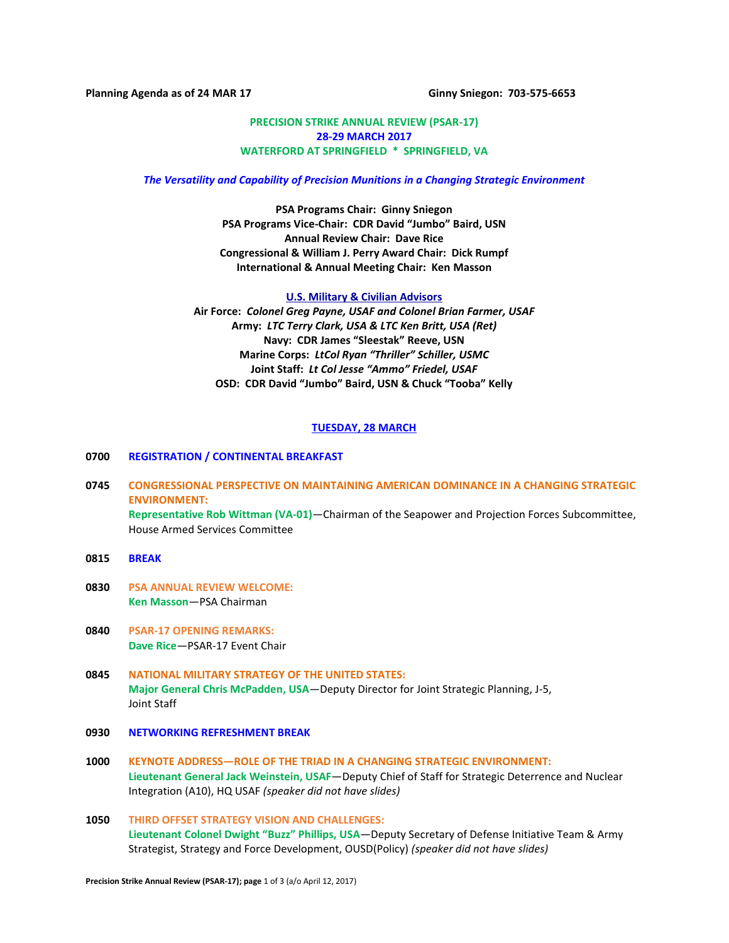**Planning Agenda as of 24 MAR 17 Ginny Sniegon: 703-575-6653**

## **PRECISION STRIKE ANNUAL REVIEW (PSAR-17) 28-29 MARCH 2017 WATERFORD AT SPRINGFIELD \* SPRINGFIELD, VA**

#### *The Versatility and Capability of Precision Munitions in a Changing Strategic Environment*

**PSA Programs Chair: Ginny Sniegon PSA Programs Vice-Chair: CDR David "Jumbo" Baird, USN Annual Review Chair: Dave Rice Congressional & William J. Perry Award Chair: Dick Rumpf International & Annual Meeting Chair: Ken Masson**

**U.S. Military & Civilian Advisors Air Force:** *Colonel Greg Payne, USAF and Colonel Brian Farmer, USAF* **Army:** *LTC Terry Clark, USA & LTC Ken Britt, USA (Ret)* **Navy: CDR James "Sleestak" Reeve, USN Marine Corps:** *LtCol Ryan "Thriller" Schiller, USMC* **Joint Staff:** *Lt Col Jesse "Ammo" Friedel, USAF* **OSD: CDR David "Jumbo" Baird, USN & Chuck "Tooba" Kelly**

### **TUESDAY, 28 MARCH**

## **0700 REGISTRATION / CONTINENTAL BREAKFAST**

- **0745 CONGRESSIONAL PERSPECTIVE ON MAINTAINING AMERICAN DOMINANCE IN A CHANGING STRATEGIC ENVIRONMENT: Representative Rob Wittman (VA-01)**—Chairman of the Seapower and Projection Forces Subcommittee, House Armed Services Committee
- **0815 BREAK**
- **0830 PSA ANNUAL REVIEW WELCOME: Ken Masson**—PSA Chairman
- **0840 PSAR-17 OPENING REMARKS: Dave Rice**—PSAR-17 Event Chair
- **0845 NATIONAL MILITARY STRATEGY OF THE UNITED STATES: Major General Chris McPadden, USA**—Deputy Director for Joint Strategic Planning, J-5, Joint Staff
- **0930 NETWORKING REFRESHMENT BREAK**
- **1000 KEYNOTE ADDRESS—ROLE OF THE TRIAD IN A CHANGING STRATEGIC ENVIRONMENT: Lieutenant General Jack Weinstein, USAF**—Deputy Chief of Staff for Strategic Deterrence and Nuclear Integration (A10), HQ USAF *(speaker did not have slides)*
- **1050 THIRD OFFSET STRATEGY VISION AND CHALLENGES: Lieutenant Colonel Dwight "Buzz" Phillips, USA**—Deputy Secretary of Defense Initiative Team & Army Strategist, Strategy and Force Development, OUSD(Policy) *(speaker did not have slides)*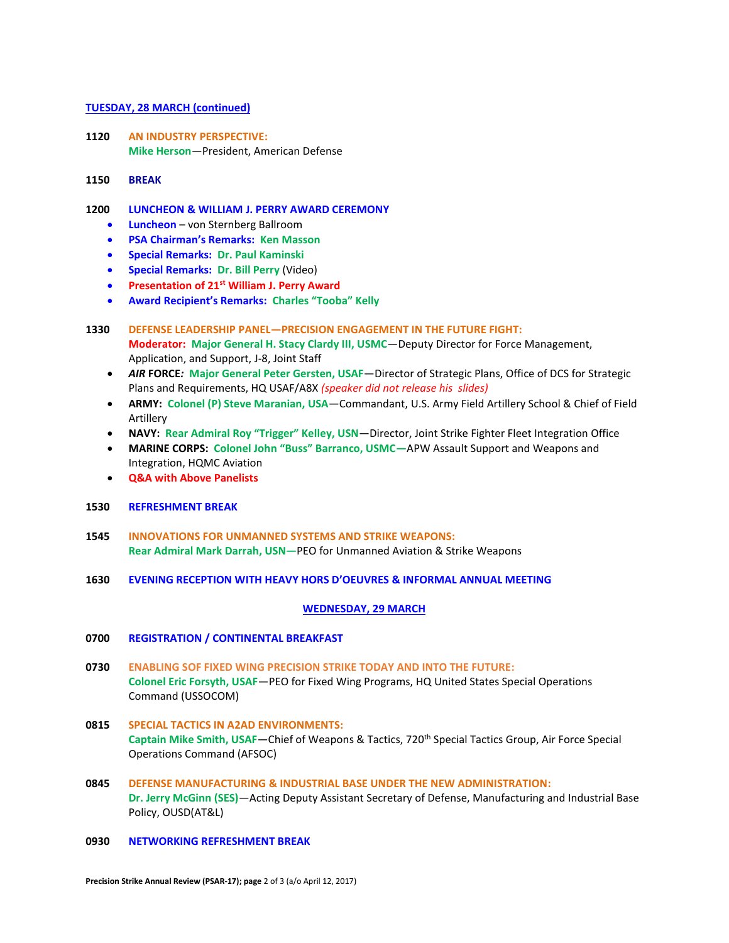### **TUESDAY, 28 MARCH (continued)**

- **1120 AN INDUSTRY PERSPECTIVE: Mike Herson**—President, American Defense
- **1150 BREAK**

# **1200 LUNCHEON & WILLIAM J. PERRY AWARD CEREMONY**

- **Luncheon**  von Sternberg Ballroom
- **PSA Chairman's Remarks: Ken Masson**
- **Special Remarks: Dr. Paul Kaminski**
- **Special Remarks:****Dr. Bill Perry** (Video)
- **Presentation of 21st William J. Perry Award**
- **Award Recipient's Remarks: Charles "Tooba" Kelly**

# **1330 DEFENSE LEADERSHIP PANEL—PRECISION ENGAGEMENT IN THE FUTURE FIGHT: Moderator: Major General H. Stacy Clardy III, USMC**—Deputy Director for Force Management, Application, and Support, J-8, Joint Staff

- *AIR* **FORCE***:* **Major General Peter Gersten, USAF**—Director of Strategic Plans, Office of DCS for Strategic Plans and Requirements, HQ USAF/A8X *(speaker did not release his slides)*
- **ARMY: Colonel (P) Steve Maranian, USA**—Commandant, U.S. Army Field Artillery School & Chief of Field Artillery
- **NAVY: Rear Admiral Roy "Trigger" Kelley, USN**—Director, Joint Strike Fighter Fleet Integration Office
- **MARINE CORPS: Colonel John "Buss" Barranco, USMC—**APW Assault Support and Weapons and Integration, HQMC Aviation
- **Q&A with Above Panelists**

## **1530 REFRESHMENT BREAK**

- **1545 INNOVATIONS FOR UNMANNED SYSTEMS AND STRIKE WEAPONS: Rear Admiral Mark Darrah, USN—**PEO for Unmanned Aviation & Strike Weapons
- **1630 EVENING RECEPTION WITH HEAVY HORS D'OEUVRES & INFORMAL ANNUAL MEETING**

## **WEDNESDAY, 29 MARCH**

## **0700 REGISTRATION / CONTINENTAL BREAKFAST**

- **0730 ENABLING SOF FIXED WING PRECISION STRIKE TODAY AND INTO THE FUTURE: Colonel Eric Forsyth, USAF**—PEO for Fixed Wing Programs, HQ United States Special Operations Command (USSOCOM)
- **0815 SPECIAL TACTICS IN A2AD ENVIRONMENTS: Captain Mike Smith, USAF**—Chief of Weapons & Tactics, 720th Special Tactics Group, Air Force Special Operations Command (AFSOC)
- **0845 DEFENSE MANUFACTURING & INDUSTRIAL BASE UNDER THE NEW ADMINISTRATION: Dr. Jerry McGinn (SES)**—Acting Deputy Assistant Secretary of Defense, Manufacturing and Industrial Base Policy, OUSD(AT&L)
- **0930 NETWORKING REFRESHMENT BREAK**